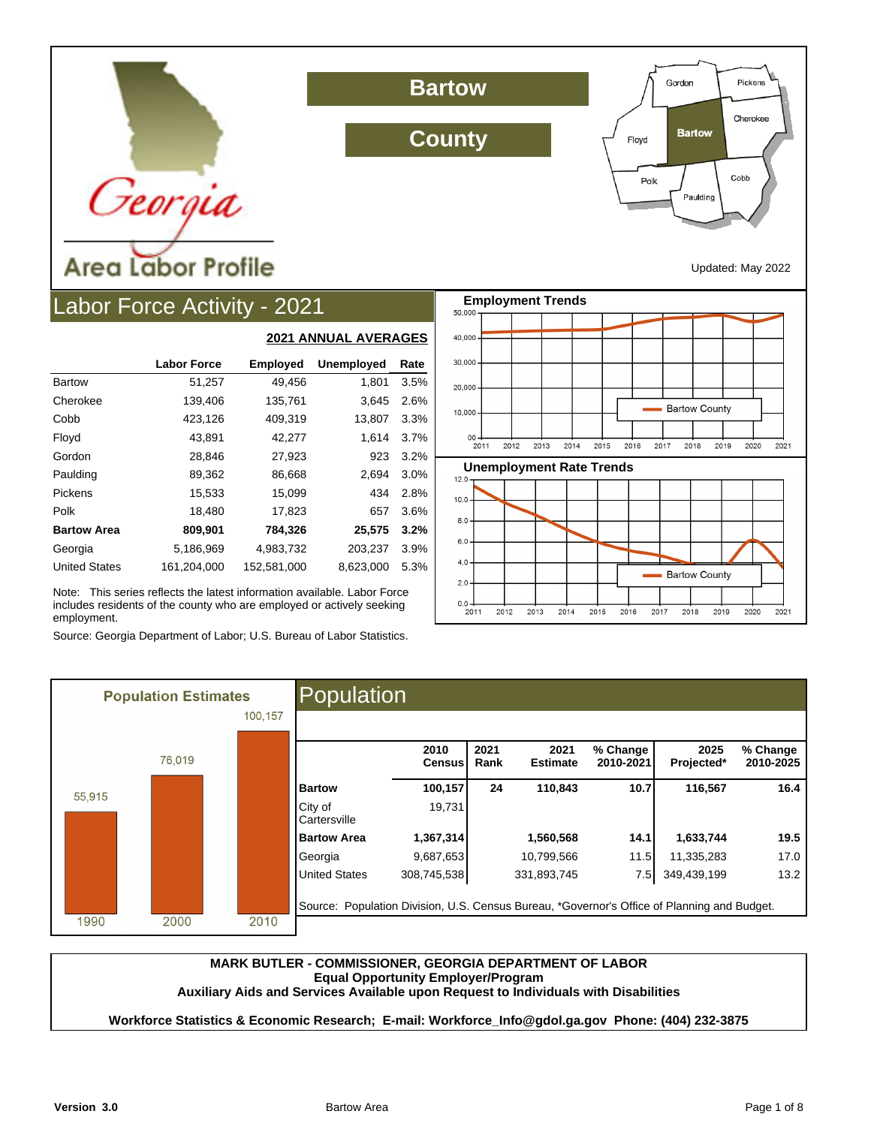

## Labor Force Activity - 2021

|                      |                    | <u>ZUZI MINIVAL AVENAUEJ</u> |                   |      |  |  |
|----------------------|--------------------|------------------------------|-------------------|------|--|--|
|                      | <b>Labor Force</b> | <b>Employed</b>              | <b>Unemployed</b> | Rate |  |  |
| <b>Bartow</b>        | 51,257             | 49,456                       | 1,801             | 3.5% |  |  |
| Cherokee             | 139,406            | 135,761                      | 3,645             | 2.6% |  |  |
| Cobb                 | 423,126            | 409,319                      | 13,807            | 3.3% |  |  |
| Floyd                | 43,891             | 42,277                       | 1,614             | 3.7% |  |  |
| Gordon               | 28,846             | 27,923                       | 923               | 3.2% |  |  |
| Paulding             | 89,362             | 86,668                       | 2,694             | 3.0% |  |  |
| Pickens              | 15,533             | 15,099                       | 434               | 2.8% |  |  |
| Polk                 | 18,480             | 17,823                       | 657               | 3.6% |  |  |
| <b>Bartow Area</b>   | 809,901            | 784,326                      | 25,575            | 3.2% |  |  |
| Georgia              | 5,186,969          | 4,983,732                    | 203,237           | 3.9% |  |  |
| <b>United States</b> | 161,204,000        | 152.581.000                  | 8,623,000         | 5.3% |  |  |

**2021 ANNUAL AVERAGES**

Note: This series reflects the latest information available. Labor Force includes residents of the county who are employed or actively seeking employment.

Source: Georgia Department of Labor; U.S. Bureau of Labor Statistics.



Gordon

Floyd

Polk

**Bartow** 

Paulding

Pickens

Cherokee

Cobb

|        | <b>Population Estimates</b> |         | Population                                                                                  |                       |              |                         |                       |                    |                       |
|--------|-----------------------------|---------|---------------------------------------------------------------------------------------------|-----------------------|--------------|-------------------------|-----------------------|--------------------|-----------------------|
|        |                             | 100.157 |                                                                                             |                       |              |                         |                       |                    |                       |
|        | 76,019                      |         |                                                                                             | 2010<br><b>Census</b> | 2021<br>Rank | 2021<br><b>Estimate</b> | % Change<br>2010-2021 | 2025<br>Projected* | % Change<br>2010-2025 |
| 55.915 |                             |         | <b>Bartow</b>                                                                               | 100,157               | 24           | 110,843                 | 10.7                  | 116,567            | 16.4                  |
|        |                             |         | City of<br>Cartersville                                                                     | 19,731                |              |                         |                       |                    |                       |
|        |                             |         | <b>Bartow Area</b>                                                                          | 1,367,314             |              | 1,560,568               | 14.1                  | 1,633,744          | 19.5                  |
|        |                             |         | Georgia                                                                                     | 9,687,653             |              | 10,799,566              | 11.5                  | 11,335,283         | 17.0                  |
|        |                             |         | <b>United States</b>                                                                        | 308,745,538           |              | 331,893,745             | 7.5                   | 349,439,199        | 13.2                  |
| 1990   | 2000                        | 2010    | Source: Population Division, U.S. Census Bureau, *Governor's Office of Planning and Budget. |                       |              |                         |                       |                    |                       |

**County**

**Bartow**

#### **MARK BUTLER - COMMISSIONER, GEORGIA DEPARTMENT OF LABOR Equal Opportunity Employer/Program Auxiliary Aids and Services Available upon Request to Individuals with Disabilities**

**Workforce Statistics & Economic Research; E-mail: Workforce\_Info@gdol.ga.gov Phone: (404) 232-3875**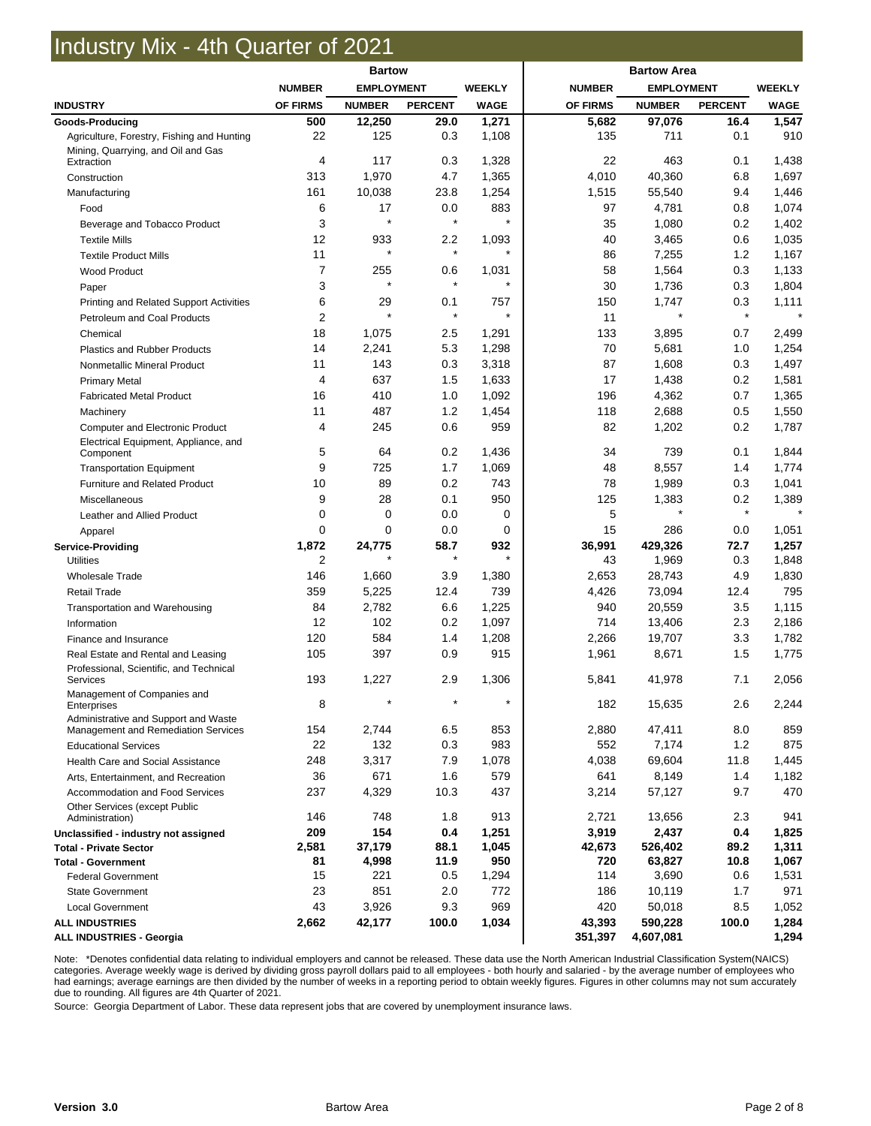### Industry Mix - 4th Quarter of 2021

|                                            | <b>Bartow</b>  |                   | <b>Bartow Area</b> |               |                 |                   |                |               |
|--------------------------------------------|----------------|-------------------|--------------------|---------------|-----------------|-------------------|----------------|---------------|
|                                            | <b>NUMBER</b>  | <b>EMPLOYMENT</b> |                    | <b>WEEKLY</b> | <b>NUMBER</b>   | <b>EMPLOYMENT</b> |                | <b>WEEKLY</b> |
| <b>INDUSTRY</b>                            | OF FIRMS       | <b>NUMBER</b>     | <b>PERCENT</b>     | <b>WAGE</b>   | <b>OF FIRMS</b> | <b>NUMBER</b>     | <b>PERCENT</b> | <b>WAGE</b>   |
| Goods-Producing                            | 500            | 12,250            | 29.0               | 1,271         | 5,682           | 97,076            | 16.4           | 1,547         |
| Agriculture, Forestry, Fishing and Hunting | 22             | 125               | 0.3                | 1,108         | 135             | 711               | 0.1            | 910           |
| Mining, Quarrying, and Oil and Gas         |                |                   |                    |               |                 |                   |                |               |
| Extraction                                 | $\overline{4}$ | 117               | 0.3                | 1,328         | 22              | 463               | 0.1            | 1,438         |
| Construction                               | 313            | 1,970             | 4.7                | 1,365         | 4,010           | 40,360            | 6.8            | 1,697         |
| Manufacturing                              | 161            | 10,038            | 23.8               | 1,254         | 1,515           | 55,540            | 9.4            | 1,446         |
| Food                                       | 6              | 17                | 0.0                | 883           | 97              | 4,781             | 0.8            | 1,074         |
| Beverage and Tobacco Product               | 3              | $\star$           | $\star$            | $\star$       | 35              | 1,080             | 0.2            | 1,402         |
| <b>Textile Mills</b>                       | 12             | 933               | 2.2                | 1,093         | 40              | 3,465             | 0.6            | 1,035         |
| <b>Textile Product Mills</b>               | 11             | $\star$           | $\star$            | $\star$       | 86              | 7,255             | 1.2            | 1,167         |
| <b>Wood Product</b>                        | $\overline{7}$ | 255               | 0.6                | 1,031         | 58              | 1,564             | 0.3            | 1,133         |
| Paper                                      | 3              | $\star$           | $\star$            | $\star$       | 30              | 1,736             | 0.3            | 1,804         |
| Printing and Related Support Activities    | 6              | 29                | 0.1                | 757           | 150             | 1,747             | 0.3            | 1,111         |
| Petroleum and Coal Products                | 2              | $\star$           | $\star$            | $\star$       | 11              | $\star$           | $\star$        |               |
| Chemical                                   | 18             | 1,075             | 2.5                | 1,291         | 133             | 3,895             | 0.7            | 2,499         |
| <b>Plastics and Rubber Products</b>        | 14             | 2,241             | 5.3                | 1,298         | 70              | 5,681             | 1.0            | 1,254         |
| Nonmetallic Mineral Product                | 11             | 143               | 0.3                | 3,318         | 87              | 1,608             | 0.3            | 1,497         |
| <b>Primary Metal</b>                       | 4              | 637               | 1.5                | 1,633         | 17              | 1,438             | 0.2            | 1,581         |
| <b>Fabricated Metal Product</b>            | 16             | 410               | 1.0                | 1,092         | 196             | 4,362             | 0.7            | 1,365         |
| Machinery                                  | 11             | 487               | 1.2                | 1,454         | 118             | 2,688             | 0.5            | 1,550         |
| <b>Computer and Electronic Product</b>     | $\overline{4}$ | 245               | 0.6                | 959           | 82              | 1,202             | 0.2            | 1,787         |
| Electrical Equipment, Appliance, and       |                |                   |                    |               |                 |                   |                |               |
| Component                                  | 5              | 64                | 0.2                | 1,436         | 34              | 739               | 0.1            | 1,844         |
| <b>Transportation Equipment</b>            | 9              | 725               | 1.7                | 1,069         | 48              | 8,557             | 1.4            | 1,774         |
| Furniture and Related Product              | 10             | 89                | 0.2                | 743           | 78              | 1,989             | 0.3            | 1,041         |
| Miscellaneous                              | 9              | 28                | 0.1                | 950           | 125             | 1,383             | 0.2            | 1,389         |
| Leather and Allied Product                 | $\mathbf 0$    | $\mathbf 0$       | 0.0                | 0             | 5               | $\star$           | $\star$        |               |
| Apparel                                    | 0              | 0                 | 0.0                | 0             | 15              | 286               | 0.0            | 1,051         |
| <b>Service-Providing</b>                   | 1,872          | 24,775            | 58.7               | 932           | 36,991          | 429,326           | 72.7           | 1,257         |
| <b>Utilities</b>                           | 2              |                   | $\star$            | $\star$       | 43              | 1,969             | 0.3            | 1,848         |
| <b>Wholesale Trade</b>                     | 146            | 1,660             | 3.9                | 1,380         | 2,653           | 28,743            | 4.9            | 1,830         |
| <b>Retail Trade</b>                        | 359            | 5,225             | 12.4               | 739           | 4,426           | 73,094            | 12.4           | 795           |
| Transportation and Warehousing             | 84             | 2,782             | 6.6                | 1,225         | 940             | 20,559            | 3.5            | 1,115         |
| Information                                | 12             | 102               | 0.2                | 1,097         | 714             | 13,406            | 2.3            | 2,186         |
| Finance and Insurance                      | 120            | 584               | 1.4                | 1,208         | 2,266           | 19,707            | 3.3            | 1,782         |
| Real Estate and Rental and Leasing         | 105            | 397               | 0.9                | 915           | 1,961           | 8,671             | 1.5            | 1,775         |
| Professional, Scientific, and Technical    |                |                   |                    |               |                 |                   |                |               |
| <b>Services</b>                            | 193            | 1,227             | 2.9                | 1,306         | 5,841           | 41,978            | 7.1            | 2,056         |
| Management of Companies and<br>Enterprises | 8              | $\star$           | $\star$            | $\star$       | 182             | 15,635            | 2.6            | 2,244         |
| Administrative and Support and Waste       |                |                   |                    |               |                 |                   |                |               |
| Management and Remediation Services        | 154            | 2,744             | 6.5                | 853           | 2,880           | 47,411            | 8.0            | 859           |
| <b>Educational Services</b>                | 22             | 132               | 0.3                | 983           | 552             | 7,174             | 1.2            | 875           |
| <b>Health Care and Social Assistance</b>   | 248            | 3,317             | 7.9                | 1,078         | 4,038           | 69,604            | 11.8           | 1,445         |
| Arts, Entertainment, and Recreation        | 36             | 671               | 1.6                | 579           | 641             | 8,149             | 1.4            | 1,182         |
| Accommodation and Food Services            | 237            | 4,329             | 10.3               | 437           | 3,214           | 57,127            | 9.7            | 470           |
| Other Services (except Public              |                |                   |                    |               |                 |                   |                |               |
| Administration)                            | 146            | 748               | 1.8                | 913           | 2,721           | 13,656            | 2.3            | 941           |
| Unclassified - industry not assigned       | 209            | 154               | 0.4                | 1,251         | 3,919           | 2,437             | 0.4            | 1,825         |
| <b>Total - Private Sector</b>              | 2,581          | 37,179            | 88.1               | 1,045         | 42,673          | 526,402           | 89.2           | 1,311         |
| <b>Total - Government</b>                  | 81             | 4,998             | 11.9               | 950           | 720             | 63,827            | 10.8           | 1,067         |
| <b>Federal Government</b>                  | 15             | 221               | 0.5                | 1,294         | 114             | 3,690             | 0.6            | 1,531         |
| <b>State Government</b>                    | 23             | 851               | 2.0                | 772           | 186             | 10,119            | 1.7            | 971           |
| <b>Local Government</b>                    | 43             | 3,926             | 9.3                | 969           | 420             | 50,018            | 8.5            | 1,052         |
| <b>ALL INDUSTRIES</b>                      | 2,662          | 42,177            | 100.0              | 1,034         | 43,393          | 590,228           | 100.0          | 1,284         |
| <b>ALL INDUSTRIES - Georgia</b>            |                |                   |                    |               | 351,397         | 4,607,081         |                | 1,294         |

Note: \*Denotes confidential data relating to individual employers and cannot be released. These data use the North American Industrial Classification System(NAICS) categories. Average weekly wage is derived by dividing gross payroll dollars paid to all employees - both hourly and salaried - by the average number of employees who had earnings; average earnings are then divided by the number of weeks in a reporting period to obtain weekly figures. Figures in other columns may not sum accurately due to rounding. All figures are 4th Quarter of 2021.

Source: Georgia Department of Labor. These data represent jobs that are covered by unemployment insurance laws.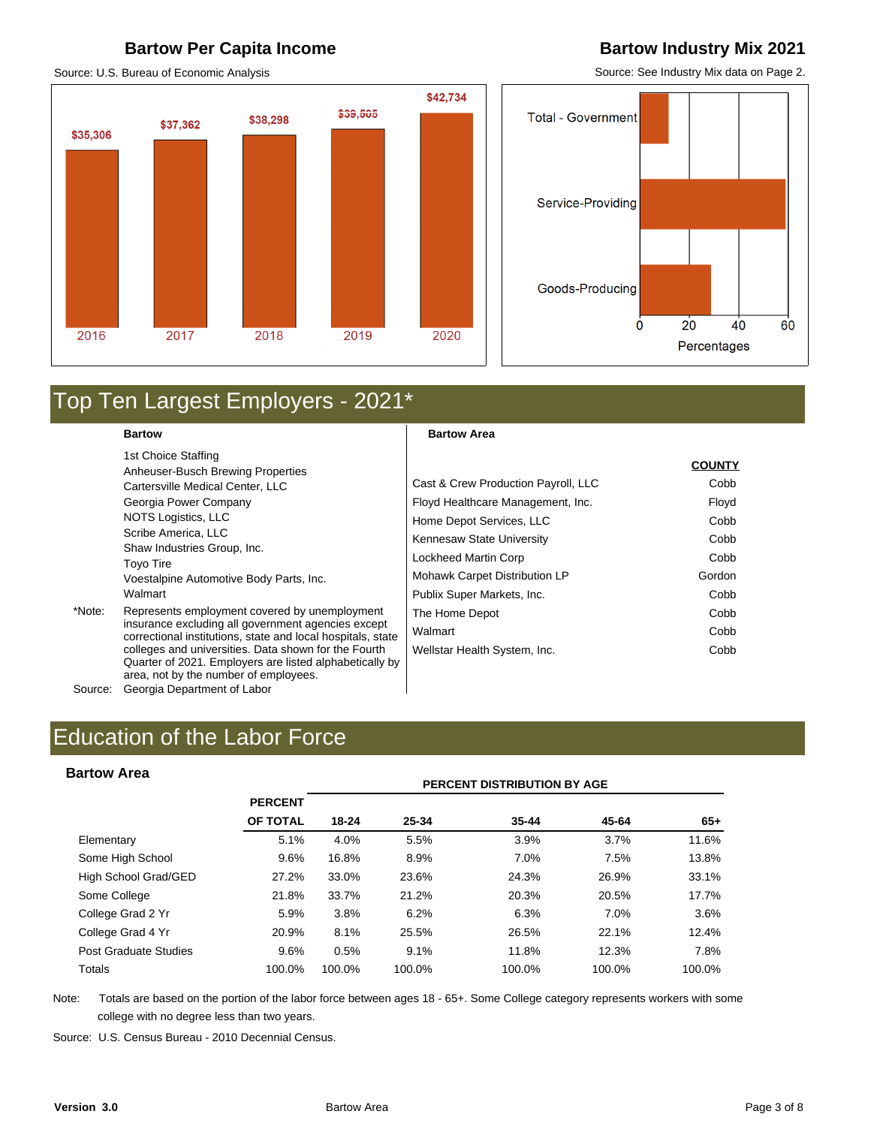### **Bartow Per Capita Income <b>Bartow Industry Mix 2021**

Source: U.S. Bureau of Economic Analysis

### \$42,734 \$39,505 \$38,298 \$37,362 \$35,306 2016 2019 2020 2017 2018

Source: See Industry Mix data on Page 2.

**COUNTY**



### Top Ten Largest Employers - 2021\*

**Bartow** 

1st Choice Staffing Anheuser-Busch Brewing Properties Cartersville Medical Center, LLC Georgia Power Company NOTS Logistics, LLC Scribe America, LLC Shaw Industries Group, Inc. Toyo Tire Voestalpine Automotive Body Parts, Inc. Walmart

\*Note: Represents employment covered by unemployment insurance excluding all government agencies except correctional institutions, state and local hospitals, state colleges and universities. Data shown for the Fourth Quarter of 2021. Employers are listed alphabetically by area, not by the number of employees. Source: Georgia Department of Labor

|                                     | <b>COUNTY</b> |
|-------------------------------------|---------------|
| Cast & Crew Production Payroll, LLC | Cobb          |
| Floyd Healthcare Management, Inc.   | Floyd         |
| Home Depot Services, LLC            | Cobb          |
| Kennesaw State University           | Cobb          |
| Lockheed Martin Corp                | Cobb          |
| Mohawk Carpet Distribution LP       | Gordon        |
| Publix Super Markets, Inc.          | Cobb          |
| The Home Depot                      | Cobb          |
| Walmart                             | Cobb          |
| Wellstar Health System, Inc.        | Cobb          |

#### **Bartow Area**

| <b>Bartow Area</b>    |                |        |        | PERCENT DISTRIBUTION BY AGE |        |        |
|-----------------------|----------------|--------|--------|-----------------------------|--------|--------|
|                       | <b>PERCENT</b> |        |        |                             |        |        |
|                       | OF TOTAL       | 18-24  | 25-34  | $35 - 44$                   | 45-64  | $65+$  |
| Elementary            | 5.1%           | 4.0%   | 5.5%   | 3.9%                        | 3.7%   | 11.6%  |
| Some High School      | 9.6%           | 16.8%  | 8.9%   | 7.0%                        | 7.5%   | 13.8%  |
| High School Grad/GED  | 27.2%          | 33.0%  | 23.6%  | 24.3%                       | 26.9%  | 33.1%  |
| Some College          | 21.8%          | 33.7%  | 21.2%  | 20.3%                       | 20.5%  | 17.7%  |
| College Grad 2 Yr     | 5.9%           | 3.8%   | 6.2%   | 6.3%                        | 7.0%   | 3.6%   |
| College Grad 4 Yr     | 20.9%          | 8.1%   | 25.5%  | 26.5%                       | 22.1%  | 12.4%  |
| Post Graduate Studies | 9.6%           | 0.5%   | 9.1%   | 11.8%                       | 12.3%  | 7.8%   |
| Totals                | 100.0%         | 100.0% | 100.0% | 100.0%                      | 100.0% | 100.0% |

Note: Totals are based on the portion of the labor force between ages 18 - 65+. Some College category represents workers with some college with no degree less than two years.

Source: U.S. Census Bureau - 2010 Decennial Census.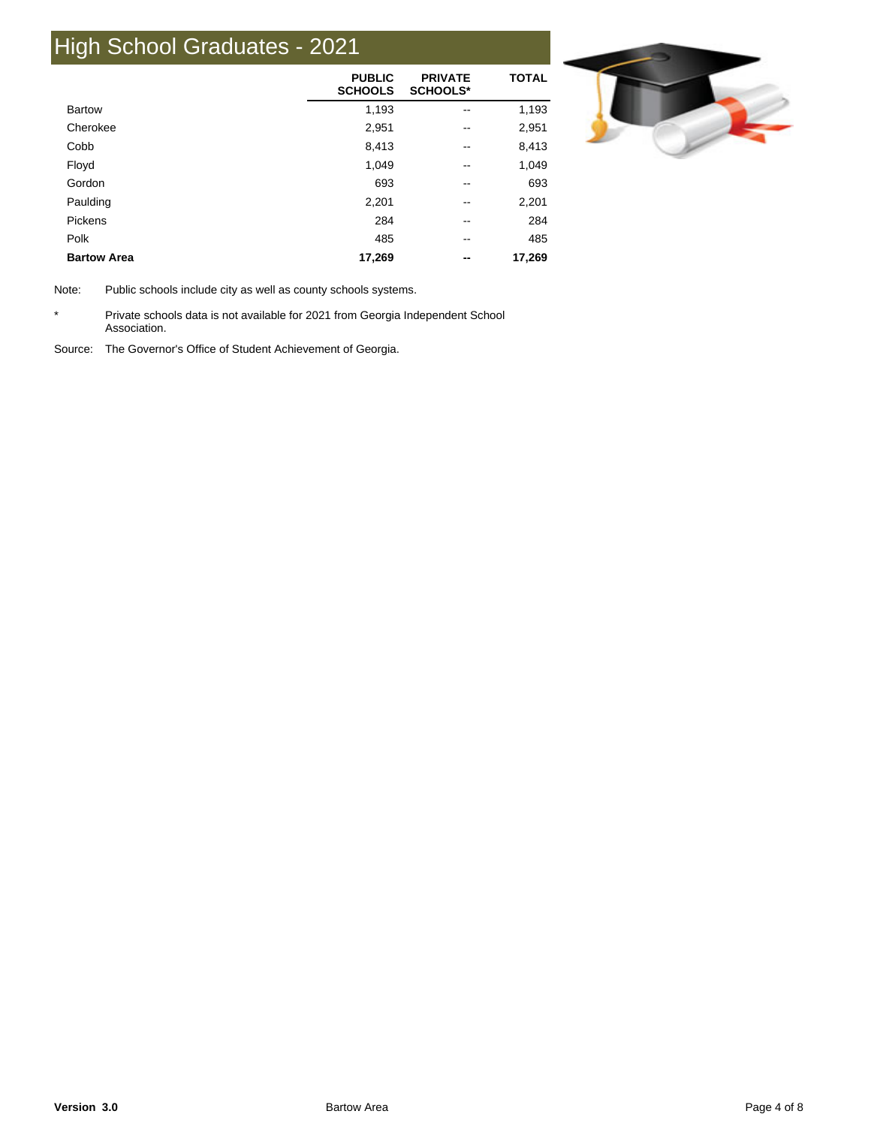## High School Graduates - 2021

|                    | <b>PUBLIC</b><br><b>SCHOOLS</b> | <b>PRIVATE</b><br><b>SCHOOLS*</b> | <b>TOTAL</b> |
|--------------------|---------------------------------|-----------------------------------|--------------|
| <b>Bartow</b>      | 1,193                           | --                                | 1,193        |
| Cherokee           | 2,951                           | --                                | 2,951        |
| Cobb               | 8,413                           | --                                | 8,413        |
| Floyd              | 1,049                           | --                                | 1,049        |
| Gordon             | 693                             | --                                | 693          |
| Paulding           | 2,201                           | --                                | 2,201        |
| Pickens            | 284                             | --                                | 284          |
| Polk               | 485                             | --                                | 485          |
| <b>Bartow Area</b> | 17,269                          | --                                | 17,269       |



Note: Public schools include city as well as county schools systems.

\* Private schools data is not available for 2021 from Georgia Independent School Association.

Source: The Governor's Office of Student Achievement of Georgia.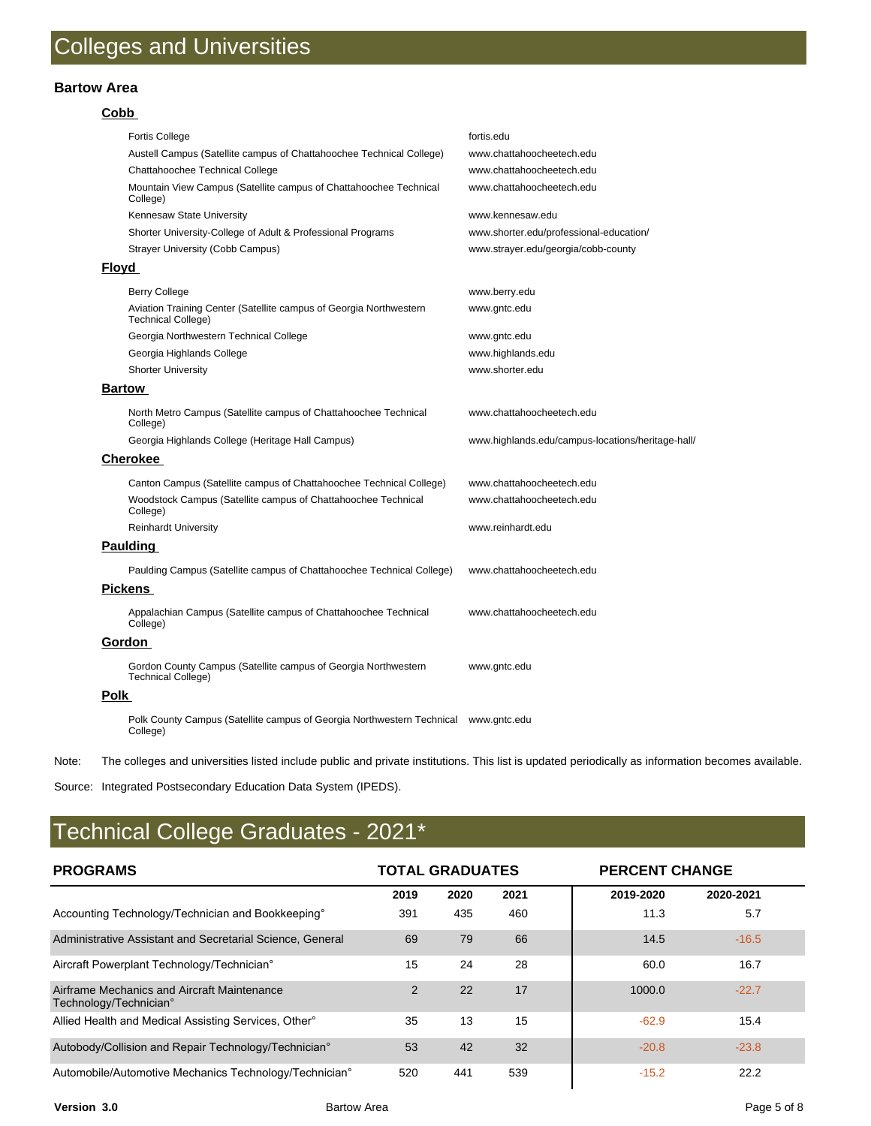#### **Bartow Area**

#### **Cobb**

|              | Fortis College                                                                              | fortis.edu                                        |
|--------------|---------------------------------------------------------------------------------------------|---------------------------------------------------|
|              | Austell Campus (Satellite campus of Chattahoochee Technical College)                        | www.chattahoocheetech.edu                         |
|              | Chattahoochee Technical College                                                             | www.chattahoocheetech.edu                         |
|              | Mountain View Campus (Satellite campus of Chattahoochee Technical<br>College)               | www.chattahoocheetech.edu                         |
|              | Kennesaw State University                                                                   | www.kennesaw.edu                                  |
|              | Shorter University-College of Adult & Professional Programs                                 | www.shorter.edu/professional-education/           |
|              | <b>Strayer University (Cobb Campus)</b>                                                     | www.strayer.edu/georgia/cobb-county               |
| <b>Floyd</b> |                                                                                             |                                                   |
|              | <b>Berry College</b>                                                                        | www.berry.edu                                     |
|              | Aviation Training Center (Satellite campus of Georgia Northwestern<br>Technical College)    | www.gntc.edu                                      |
|              | Georgia Northwestern Technical College                                                      | www.gntc.edu                                      |
|              | Georgia Highlands College                                                                   | www.highlands.edu                                 |
|              | <b>Shorter University</b>                                                                   | www.shorter.edu                                   |
|              | <b>Bartow</b>                                                                               |                                                   |
|              | North Metro Campus (Satellite campus of Chattahoochee Technical<br>College)                 | www.chattahoocheetech.edu                         |
|              | Georgia Highlands College (Heritage Hall Campus)                                            | www.highlands.edu/campus-locations/heritage-hall/ |
|              | <b>Cherokee</b>                                                                             |                                                   |
|              | Canton Campus (Satellite campus of Chattahoochee Technical College)                         | www.chattahoocheetech.edu                         |
|              | Woodstock Campus (Satellite campus of Chattahoochee Technical<br>College)                   | www.chattahoocheetech.edu                         |
|              | <b>Reinhardt University</b>                                                                 | www.reinhardt.edu                                 |
|              | <b>Paulding</b>                                                                             |                                                   |
|              | Paulding Campus (Satellite campus of Chattahoochee Technical College)                       | www.chattahoocheetech.edu                         |
|              | <b>Pickens</b>                                                                              |                                                   |
|              | Appalachian Campus (Satellite campus of Chattahoochee Technical<br>College)                 | www.chattahoocheetech.edu                         |
|              | Gordon                                                                                      |                                                   |
|              | Gordon County Campus (Satellite campus of Georgia Northwestern<br><b>Technical College)</b> | www.gntc.edu                                      |
| Polk         |                                                                                             |                                                   |
|              | Polk County Campus (Satellite campus of Georgia Northwestern Technical<br>College)          | www.gntc.edu                                      |

Note: The colleges and universities listed include public and private institutions. This list is updated periodically as information becomes available.

Source: Integrated Postsecondary Education Data System (IPEDS).

### Technical College Graduates - 2021\*

| <b>PROGRAMS</b>                                                       | <b>TOTAL GRADUATES</b> |      |      |           | <b>PERCENT CHANGE</b> |  |  |
|-----------------------------------------------------------------------|------------------------|------|------|-----------|-----------------------|--|--|
|                                                                       | 2019                   | 2020 | 2021 | 2019-2020 | 2020-2021             |  |  |
| Accounting Technology/Technician and Bookkeeping°                     | 391                    | 435  | 460  | 11.3      | 5.7                   |  |  |
| Administrative Assistant and Secretarial Science, General             | 69                     | 79   | 66   | 14.5      | $-16.5$               |  |  |
| Aircraft Powerplant Technology/Technician°                            | 15                     | 24   | 28   | 60.0      | 16.7                  |  |  |
| Airframe Mechanics and Aircraft Maintenance<br>Technology/Technician° | 2                      | 22   | 17   | 1000.0    | $-22.7$               |  |  |
| Allied Health and Medical Assisting Services, Other <sup>®</sup>      | 35                     | 13   | 15   | $-62.9$   | 15.4                  |  |  |
| Autobody/Collision and Repair Technology/Technician°                  | 53                     | 42   | 32   | $-20.8$   | $-23.8$               |  |  |
| Automobile/Automotive Mechanics Technology/Technician°                | 520                    | 441  | 539  | $-15.2$   | 22.2                  |  |  |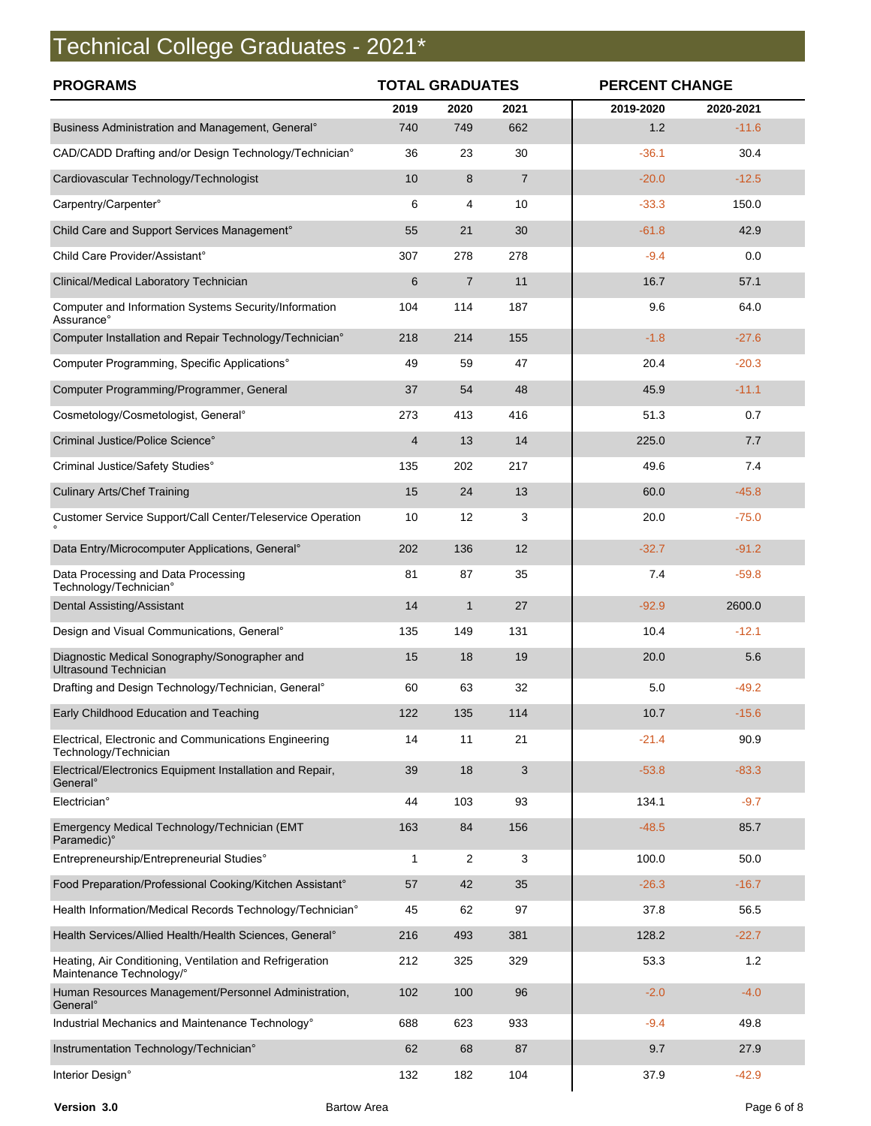# Technical College Graduates - 2021\*

| <b>PROGRAMS</b>                                                                      | <b>TOTAL GRADUATES</b> |                |                | <b>PERCENT CHANGE</b> |           |  |
|--------------------------------------------------------------------------------------|------------------------|----------------|----------------|-----------------------|-----------|--|
|                                                                                      | 2019                   | 2020           | 2021           | 2019-2020             | 2020-2021 |  |
| Business Administration and Management, General <sup>®</sup>                         | 740                    | 749            | 662            | 1.2                   | $-11.6$   |  |
| CAD/CADD Drafting and/or Design Technology/Technician°                               | 36                     | 23             | 30             | $-36.1$               | 30.4      |  |
| Cardiovascular Technology/Technologist                                               | 10                     | 8              | $\overline{7}$ | $-20.0$               | $-12.5$   |  |
| Carpentry/Carpenter°                                                                 | 6                      | 4              | 10             | $-33.3$               | 150.0     |  |
| Child Care and Support Services Management°                                          | 55                     | 21             | 30             | $-61.8$               | 42.9      |  |
| Child Care Provider/Assistant°                                                       | 307                    | 278            | 278            | $-9.4$                | 0.0       |  |
| Clinical/Medical Laboratory Technician                                               | 6                      | $\overline{7}$ | 11             | 16.7                  | 57.1      |  |
| Computer and Information Systems Security/Information<br>Assurance°                  | 104                    | 114            | 187            | 9.6                   | 64.0      |  |
| Computer Installation and Repair Technology/Technician°                              | 218                    | 214            | 155            | $-1.8$                | $-27.6$   |  |
| Computer Programming, Specific Applications°                                         | 49                     | 59             | 47             | 20.4                  | $-20.3$   |  |
| Computer Programming/Programmer, General                                             | 37                     | 54             | 48             | 45.9                  | $-11.1$   |  |
| Cosmetology/Cosmetologist, General°                                                  | 273                    | 413            | 416            | 51.3                  | 0.7       |  |
| Criminal Justice/Police Science°                                                     | 4                      | 13             | 14             | 225.0                 | 7.7       |  |
| Criminal Justice/Safety Studies°                                                     | 135                    | 202            | 217            | 49.6                  | 7.4       |  |
| <b>Culinary Arts/Chef Training</b>                                                   | 15                     | 24             | 13             | 60.0                  | $-45.8$   |  |
| Customer Service Support/Call Center/Teleservice Operation                           | 10                     | 12             | 3              | 20.0                  | $-75.0$   |  |
| Data Entry/Microcomputer Applications, General°                                      | 202                    | 136            | 12             | $-32.7$               | $-91.2$   |  |
| Data Processing and Data Processing<br>Technology/Technician°                        | 81                     | 87             | 35             | 7.4                   | $-59.8$   |  |
| <b>Dental Assisting/Assistant</b>                                                    | 14                     | $\mathbf{1}$   | 27             | $-92.9$               | 2600.0    |  |
| Design and Visual Communications, General <sup>o</sup>                               | 135                    | 149            | 131            | 10.4                  | $-12.1$   |  |
| Diagnostic Medical Sonography/Sonographer and<br><b>Ultrasound Technician</b>        | 15                     | 18             | 19             | 20.0                  | 5.6       |  |
| Drafting and Design Technology/Technician, General®                                  | 60                     | 63             | 32             | 5.0                   | $-49.2$   |  |
| Early Childhood Education and Teaching                                               | 122                    | 135            | 114            | 10.7                  | $-15.6$   |  |
| Electrical, Electronic and Communications Engineering<br>Technology/Technician       | 14                     | 11             | 21             | $-21.4$               | 90.9      |  |
| Electrical/Electronics Equipment Installation and Repair,<br>General <sup>o</sup>    | 39                     | 18             | 3              | $-53.8$               | $-83.3$   |  |
| Electrician°                                                                         | 44                     | 103            | 93             | 134.1                 | $-9.7$    |  |
| Emergency Medical Technology/Technician (EMT<br>Paramedic)°                          | 163                    | 84             | 156            | $-48.5$               | 85.7      |  |
| Entrepreneurship/Entrepreneurial Studies°                                            | 1                      | 2              | 3              | 100.0                 | 50.0      |  |
| Food Preparation/Professional Cooking/Kitchen Assistant°                             | 57                     | 42             | 35             | $-26.3$               | $-16.7$   |  |
| Health Information/Medical Records Technology/Technician°                            | 45                     | 62             | 97             | 37.8                  | 56.5      |  |
| Health Services/Allied Health/Health Sciences, General°                              | 216                    | 493            | 381            | 128.2                 | $-22.7$   |  |
| Heating, Air Conditioning, Ventilation and Refrigeration<br>Maintenance Technology/° | 212                    | 325            | 329            | 53.3                  | 1.2       |  |
| Human Resources Management/Personnel Administration,<br>General <sup>o</sup>         | 102                    | 100            | 96             | $-2.0$                | $-4.0$    |  |
| Industrial Mechanics and Maintenance Technology°                                     | 688                    | 623            | 933            | $-9.4$                | 49.8      |  |
| Instrumentation Technology/Technician°                                               | 62                     | 68             | 87             | 9.7                   | 27.9      |  |
| Interior Design°                                                                     | 132                    | 182            | 104            | 37.9                  | $-42.9$   |  |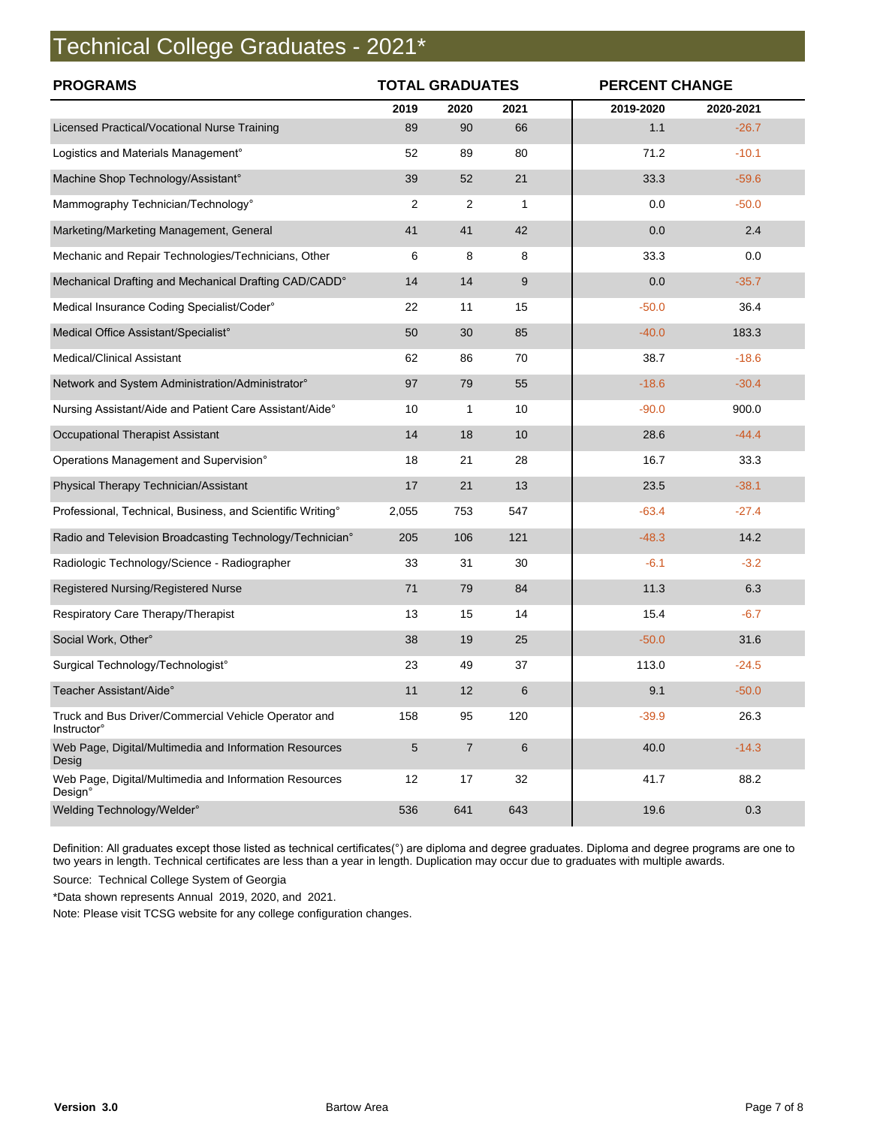### Technical College Graduates - 2021\*

| <b>PROGRAMS</b>                                                             | <b>TOTAL GRADUATES</b> |                |      | <b>PERCENT CHANGE</b> |           |
|-----------------------------------------------------------------------------|------------------------|----------------|------|-----------------------|-----------|
|                                                                             | 2019                   | 2020           | 2021 | 2019-2020             | 2020-2021 |
| Licensed Practical/Vocational Nurse Training                                | 89                     | 90             | 66   | 1.1                   | $-26.7$   |
| Logistics and Materials Management°                                         | 52                     | 89             | 80   | 71.2                  | $-10.1$   |
| Machine Shop Technology/Assistant°                                          | 39                     | 52             | 21   | 33.3                  | $-59.6$   |
| Mammography Technician/Technology°                                          | $\overline{2}$         | 2              | 1    | 0.0                   | $-50.0$   |
| Marketing/Marketing Management, General                                     | 41                     | 41             | 42   | 0.0                   | 2.4       |
| Mechanic and Repair Technologies/Technicians, Other                         | 6                      | 8              | 8    | 33.3                  | 0.0       |
| Mechanical Drafting and Mechanical Drafting CAD/CADD°                       | 14                     | 14             | 9    | 0.0                   | $-35.7$   |
| Medical Insurance Coding Specialist/Coder°                                  | 22                     | 11             | 15   | $-50.0$               | 36.4      |
| Medical Office Assistant/Specialist°                                        | 50                     | 30             | 85   | $-40.0$               | 183.3     |
| Medical/Clinical Assistant                                                  | 62                     | 86             | 70   | 38.7                  | $-18.6$   |
| Network and System Administration/Administrator°                            | 97                     | 79             | 55   | $-18.6$               | $-30.4$   |
| Nursing Assistant/Aide and Patient Care Assistant/Aide°                     | 10                     | 1              | 10   | $-90.0$               | 900.0     |
| <b>Occupational Therapist Assistant</b>                                     | 14                     | 18             | 10   | 28.6                  | $-44.4$   |
| Operations Management and Supervision°                                      | 18                     | 21             | 28   | 16.7                  | 33.3      |
| Physical Therapy Technician/Assistant                                       | 17                     | 21             | 13   | 23.5                  | $-38.1$   |
| Professional, Technical, Business, and Scientific Writing°                  | 2,055                  | 753            | 547  | $-63.4$               | $-27.4$   |
| Radio and Television Broadcasting Technology/Technician°                    | 205                    | 106            | 121  | $-48.3$               | 14.2      |
| Radiologic Technology/Science - Radiographer                                | 33                     | 31             | 30   | $-6.1$                | $-3.2$    |
| Registered Nursing/Registered Nurse                                         | 71                     | 79             | 84   | 11.3                  | 6.3       |
| Respiratory Care Therapy/Therapist                                          | 13                     | 15             | 14   | 15.4                  | $-6.7$    |
| Social Work, Other°                                                         | 38                     | 19             | 25   | $-50.0$               | 31.6      |
| Surgical Technology/Technologist°                                           | 23                     | 49             | 37   | 113.0                 | $-24.5$   |
| Teacher Assistant/Aide°                                                     | 11                     | 12             | 6    | 9.1                   | $-50.0$   |
| Truck and Bus Driver/Commercial Vehicle Operator and<br><b>Instructor</b> ° | 158                    | 95             | 120  | $-39.9$               | 26.3      |
| Web Page, Digital/Multimedia and Information Resources<br>Desig             | $\sqrt{5}$             | $\overline{7}$ | 6    | 40.0                  | $-14.3$   |
| Web Page, Digital/Multimedia and Information Resources<br>Design°           | 12                     | 17             | 32   | 41.7                  | 88.2      |
| Welding Technology/Welder°                                                  | 536                    | 641            | 643  | 19.6                  | 0.3       |

Definition: All graduates except those listed as technical certificates(°) are diploma and degree graduates. Diploma and degree programs are one to two years in length. Technical certificates are less than a year in length. Duplication may occur due to graduates with multiple awards.

Source: Technical College System of Georgia

\*Data shown represents Annual 2019, 2020, and 2021.

Note: Please visit TCSG website for any college configuration changes.